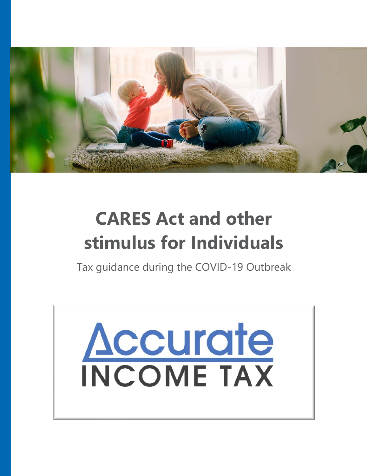

# **CARES Act and other stimulus for Individuals**

Tax guidance during the COVID-19 Outbreak

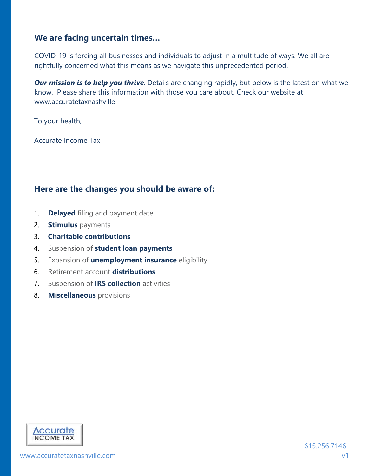#### **We are facing uncertain times…**

COVID-19 is forcing all businesses and individuals to adjust in a multitude of ways. We all are rightfully concerned what this means as we navigate this unprecedented period.

**Our mission is to help you thrive**. Details are changing rapidly, but below is the latest on what we know. Please share this information with those you care about. Check our website at www.accuratetaxnashville

To your health,

Accurate Income Tax

#### **Here are the changes you should be aware of:**

- 1. **Delayed** filing and payment date
- 2. **Stimulus** payments
- 3. **Charitable contributions**
- 4. Suspension of **student loan payments**
- 5. Expansion of **unemployment insurance** eligibility
- 6. Retirement account **distributions**
- 7. Suspension of **IRS collection** activities
- 8. **Miscellaneous** provisions

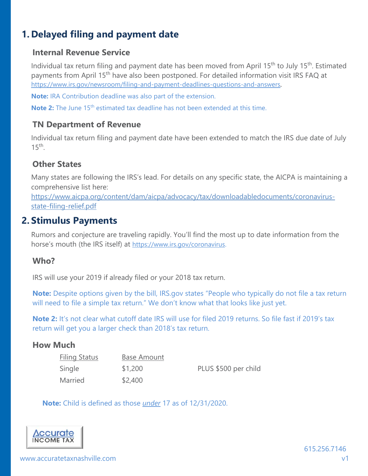# **1. Delayed filing and payment date**

#### **Internal Revenue Service**

Individual tax return filing and payment date has been moved from April 15<sup>th</sup> to July 15<sup>th</sup>. Estimated payments from April 15<sup>th</sup> have also been postponed. For detailed information visit IRS FAQ at https://www.irs.gov/newsroom/filing-and-payment-deadlines-questions-and-answers.

**Note:** IRA Contribution deadline was also part of the extension.

**Note 2:** The June 15<sup>th</sup> estimated tax deadline has not been extended at this time.

#### **TN Department of Revenue**

Individual tax return filing and payment date have been extended to match the IRS due date of July  $15<sup>th</sup>$ 

#### **Other States**

Many states are following the IRS's lead. For details on any specific state, the AICPA is maintaining a comprehensive list here:

https://www.aicpa.org/content/dam/aicpa/advocacy/tax/downloadabledocuments/coronavirusstate-filing-relief.pdf

## **2. Stimulus Payments**

Rumors and conjecture are traveling rapidly. You'll find the most up to date information from the horse's mouth (the IRS itself) at https://www.irs.gov/coronavirus.

#### **Who?**

IRS will use your 2019 if already filed or your 2018 tax return.

**Note:** Despite options given by the bill, IRS.gov states "People who typically do not file a tax return will need to file a simple tax return." We don't know what that looks like just yet.

**Note 2:** It's not clear what cutoff date IRS will use for filed 2019 returns. So file fast if 2019's tax return will get you a larger check than 2018's tax return.

#### **How Much**

| <b>Filing Status</b> | Base Amount |                      |
|----------------------|-------------|----------------------|
| Single               | \$1,200     | PLUS \$500 per child |
| Married              | \$2,400     |                      |

**Note:** Child is defined as those *under* 17 as of 12/31/2020.

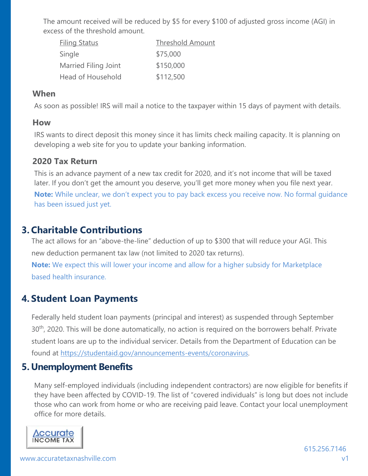The amount received will be reduced by \$5 for every \$100 of adjusted gross income (AGI) in excess of the threshold amount.

| <b>Filing Status</b> | <b>Threshold Amount</b> |
|----------------------|-------------------------|
| Single               | \$75,000                |
| Married Filing Joint | \$150,000               |
| Head of Household    | \$112,500               |

#### **When**

As soon as possible! IRS will mail a notice to the taxpayer within 15 days of payment with details.

#### **How**

IRS wants to direct deposit this money since it has limits check mailing capacity. It is planning on developing a web site for you to update your banking information.

#### **2020 Tax Return**

This is an advance payment of a new tax credit for 2020, and it's not income that will be taxed later. If you don't get the amount you deserve, you'll get more money when you file next year. **Note:** While unclear, we don't expect you to pay back excess you receive now. No formal guidance has been issued just yet.

## **3. Charitable Contributions**

The act allows for an "above-the-line" deduction of up to \$300 that will reduce your AGI. This new deduction permanent tax law (not limited to 2020 tax returns).

**Note:** We expect this will lower your income and allow for a higher subsidy for Marketplace based health insurance.

## **4. Student Loan Payments**

Federally held student loan payments (principal and interest) as suspended through September 30<sup>th</sup>, 2020. This will be done automatically, no action is required on the borrowers behalf. Private student loans are up to the individual servicer. Details from the Department of Education can be found at https://studentaid.gov/announcements-events/coronavirus.

## **5. Unemployment Benefits**

Many self-employed individuals (including independent contractors) are now eligible for benefits if they have been affected by COVID-19. The list of "covered individuals" is long but does not include those who can work from home or who are receiving paid leave. Contact your local unemployment office for more details.

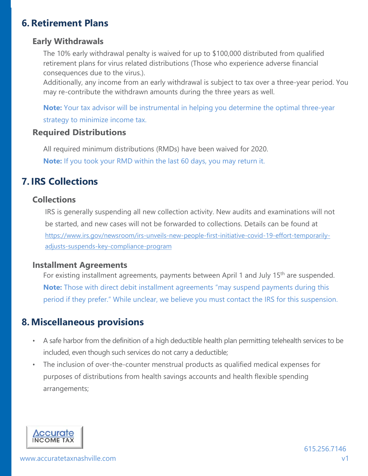## **6. Retirement Plans**

#### **Early Withdrawals**

The 10% early withdrawal penalty is waived for up to \$100,000 distributed from qualified retirement plans for virus related distributions (Those who experience adverse financial consequences due to the virus.).

Additionally, any income from an early withdrawal is subject to tax over a three-year period. You may re-contribute the withdrawn amounts during the three years as well.

**Note:** Your tax advisor will be instrumental in helping you determine the optimal three-year strategy to minimize income tax.

#### **Required Distributions**

All required minimum distributions (RMDs) have been waived for 2020. **Note:** If you took your RMD within the last 60 days, you may return it.

## **7. IRS Collections**

#### **Collections**

IRS is generally suspending all new collection activity. New audits and examinations will not be started, and new cases will not be forwarded to collections. Details can be found at https://www.irs.gov/newsroom/irs-unveils-new-people-first-initiative-covid-19-effort-temporarilyadjusts-suspends-key-compliance-program

#### **Installment Agreements**

For existing installment agreements, payments between April 1 and July 15<sup>th</sup> are suspended. **Note:** Those with direct debit installment agreements "may suspend payments during this period if they prefer." While unclear, we believe you must contact the IRS for this suspension.

## **8. Miscellaneous provisions**

- A safe harbor from the definition of a high deductible health plan permitting telehealth services to be included, even though such services do not carry a deductible;
- The inclusion of over-the-counter menstrual products as qualified medical expenses for purposes of distributions from health savings accounts and health flexible spending arrangements;